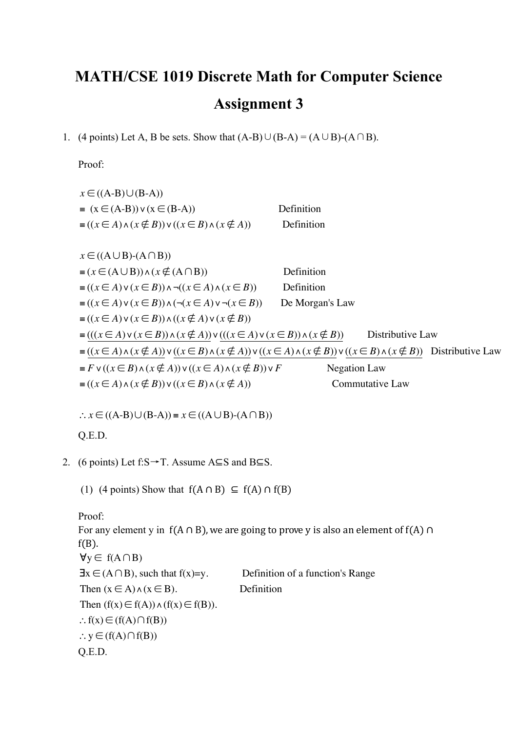## **MATH/CSE 1019 Discrete Math for Computer Science Assignment 3**

1. (4 points) Let A, B be sets. Show that  $(A-B) \cup (B-A) = (A \cup B) \cdot (A \cap B)$ .

Proof:

| $x \in ((A-B) \cup (B-A))$                                                                                      |                                                                                                                                                                 |
|-----------------------------------------------------------------------------------------------------------------|-----------------------------------------------------------------------------------------------------------------------------------------------------------------|
| $= (x \in (A-B)) \vee (x \in (B-A))$                                                                            | Definition                                                                                                                                                      |
| $\equiv ((x \in A) \land (x \notin B)) \lor ((x \in B) \land (x \notin A))$                                     | Definition                                                                                                                                                      |
|                                                                                                                 |                                                                                                                                                                 |
| $x \in ((A \cup B) - (A \cap B))$                                                                               |                                                                                                                                                                 |
| $=(x \in (A \cup B)) \land (x \notin (A \cap B))$                                                               | Definition                                                                                                                                                      |
| $=( (x \in A) \vee (x \in B)) \wedge \neg ((x \in A) \wedge (x \in B))$                                         | Definition                                                                                                                                                      |
| $=( (x \in A) \vee (x \in B)) \wedge (\neg (x \in A) \vee \neg (x \in B))$                                      | De Morgan's Law                                                                                                                                                 |
| $=( (x \in A) \vee (x \in B)) \wedge ((x \notin A) \vee (x \notin B))$                                          |                                                                                                                                                                 |
| $\equiv (((x \in A) \vee (x \in B)) \wedge (x \notin A)) \vee (((x \in A) \vee (x \in B)) \wedge (x \notin B))$ | Distributive Law                                                                                                                                                |
|                                                                                                                 | $=( (x \in A) \land (x \notin A)) \lor ((x \in B) \land (x \notin A)) \lor ((x \in A) \land (x \notin B)) \lor ((x \in B) \land (x \notin B))$ Distributive Law |
| $\equiv F \vee ((x \in B) \wedge (x \notin A)) \vee ((x \in A) \wedge (x \notin B)) \vee F$                     | <b>Negation Law</b>                                                                                                                                             |
| $=( (x \in A) \land (x \notin B) ) \lor ( (x \in B) \land (x \notin A) )$                                       | Commutative Law                                                                                                                                                 |
|                                                                                                                 |                                                                                                                                                                 |

∴*x* ∈ ((A-B)∪(B-A)) ≡ *x* ∈ ((A∪B)-(A∩B))

Q.E.D.

2. (6 points) Let f:S $\rightarrow$ T. Assume A⊆S and B⊆S.

(1) (4 points) Show that  $f(A \cap B) \subseteq f(A) \cap f(B)$ 

Proof:

For any element y in  $f(A \cap B)$ , we are going to prove y is also an element of  $f(A) \cap B$  $f(B)$ . ∀y ∈ f(A∩B)  $\exists x \in (A \cap B)$ , such that  $f(x)=y$ . Definition of a function's Range Then  $(x \in A) \land (x \in B)$ . Definition Then  $(f(x) \in f(A)) \wedge (f(x) \in f(B)).$ ∴  $f(x) \in (f(A) \cap f(B))$ ∴  $y \in (f(A) \cap f(B))$ Q.E.D.